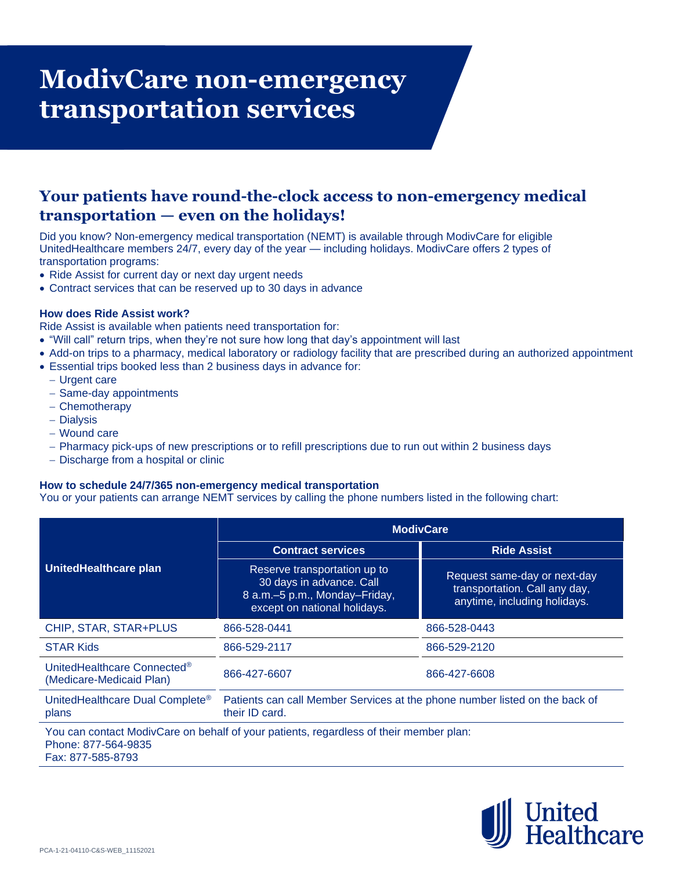# **ModivCare non-emergency transportation services**

## **Your patients have round-the-clock access to non-emergency medical transportation — even on the holidays!**

Did you know? Non-emergency medical transportation (NEMT) is available through ModivCare for eligible UnitedHealthcare members 24/7, every day of the year — including holidays. ModivCare offers 2 types of transportation programs:

- Ride Assist for current day or next day urgent needs
- Contract services that can be reserved up to 30 days in advance

### **How does Ride Assist work?**

Ride Assist is available when patients need transportation for:

- "Will call" return trips, when they're not sure how long that day's appointment will last
- Add-on trips to a pharmacy, medical laboratory or radiology facility that are prescribed during an authorized appointment
- Essential trips booked less than 2 business days in advance for:
	- − Urgent care
	- − Same-day appointments
	- − Chemotherapy
	- − Dialysis
	- − Wound care
	- − Pharmacy pick-ups of new prescriptions or to refill prescriptions due to run out within 2 business days
	- − Discharge from a hospital or clinic

### **How to schedule 24/7/365 non-emergency medical transportation**

You or your patients can arrange NEMT services by calling the phone numbers listed in the following chart:

| UnitedHealthcare plan                                                                                                              | <b>ModivCare</b>                                                                                                          |                                                                                               |
|------------------------------------------------------------------------------------------------------------------------------------|---------------------------------------------------------------------------------------------------------------------------|-----------------------------------------------------------------------------------------------|
|                                                                                                                                    | <b>Contract services</b>                                                                                                  | <b>Ride Assist</b>                                                                            |
|                                                                                                                                    | Reserve transportation up to<br>30 days in advance. Call<br>8 a.m.–5 p.m., Monday–Friday,<br>except on national holidays. | Request same-day or next-day<br>transportation. Call any day,<br>anytime, including holidays. |
| CHIP, STAR, STAR+PLUS                                                                                                              | 866-528-0441                                                                                                              | 866-528-0443                                                                                  |
| <b>STAR Kids</b>                                                                                                                   | 866-529-2117                                                                                                              | 866-529-2120                                                                                  |
| UnitedHealthcare Connected <sup>®</sup><br>(Medicare-Medicaid Plan)                                                                | 866-427-6607                                                                                                              | 866-427-6608                                                                                  |
| UnitedHealthcare Dual Complete <sup>®</sup><br>plans                                                                               | Patients can call Member Services at the phone number listed on the back of<br>their ID card.                             |                                                                                               |
| You can contact ModivCare on behalf of your patients, regardless of their member plan:<br>Phone: 877-564-9835<br>Fax: 877-585-8793 |                                                                                                                           |                                                                                               |